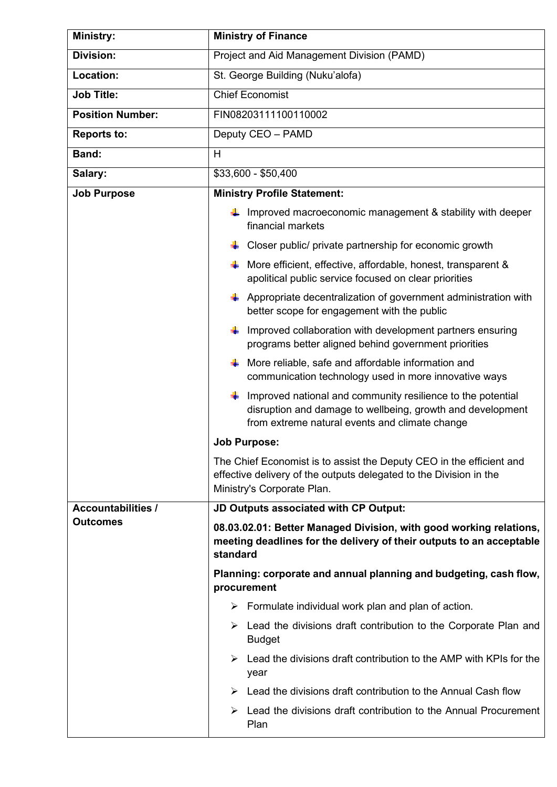| <b>Ministry:</b>          | <b>Ministry of Finance</b>                                                                                                                                                                |  |  |  |
|---------------------------|-------------------------------------------------------------------------------------------------------------------------------------------------------------------------------------------|--|--|--|
| <b>Division:</b>          | Project and Aid Management Division (PAMD)                                                                                                                                                |  |  |  |
| Location:                 | St. George Building (Nuku'alofa)                                                                                                                                                          |  |  |  |
| <b>Job Title:</b>         | <b>Chief Economist</b>                                                                                                                                                                    |  |  |  |
| <b>Position Number:</b>   | FIN08203111100110002                                                                                                                                                                      |  |  |  |
| <b>Reports to:</b>        | Deputy CEO - PAMD                                                                                                                                                                         |  |  |  |
| Band:                     | H                                                                                                                                                                                         |  |  |  |
| Salary:                   | \$33,600 - \$50,400                                                                                                                                                                       |  |  |  |
| <b>Job Purpose</b>        | <b>Ministry Profile Statement:</b>                                                                                                                                                        |  |  |  |
|                           | Improved macroeconomic management & stability with deeper<br>financial markets                                                                                                            |  |  |  |
|                           | Closer public/ private partnership for economic growth                                                                                                                                    |  |  |  |
|                           | More efficient, effective, affordable, honest, transparent &<br>۰.<br>apolitical public service focused on clear priorities                                                               |  |  |  |
|                           | $\downarrow$ Appropriate decentralization of government administration with<br>better scope for engagement with the public                                                                |  |  |  |
|                           | $\downarrow$ Improved collaboration with development partners ensuring<br>programs better aligned behind government priorities                                                            |  |  |  |
|                           | $\downarrow$ More reliable, safe and affordable information and<br>communication technology used in more innovative ways                                                                  |  |  |  |
|                           | $\frac{1}{2}$ Improved national and community resilience to the potential<br>disruption and damage to wellbeing, growth and development<br>from extreme natural events and climate change |  |  |  |
|                           | <b>Job Purpose:</b>                                                                                                                                                                       |  |  |  |
|                           | The Chief Economist is to assist the Deputy CEO in the efficient and<br>effective delivery of the outputs delegated to the Division in the<br>Ministry's Corporate Plan.                  |  |  |  |
| <b>Accountabilities /</b> | JD Outputs associated with CP Output:                                                                                                                                                     |  |  |  |
| <b>Outcomes</b>           | 08.03.02.01: Better Managed Division, with good working relations,<br>meeting deadlines for the delivery of their outputs to an acceptable<br>standard                                    |  |  |  |
|                           | Planning: corporate and annual planning and budgeting, cash flow,<br>procurement                                                                                                          |  |  |  |
|                           | $\triangleright$ Formulate individual work plan and plan of action.                                                                                                                       |  |  |  |
|                           | Lead the divisions draft contribution to the Corporate Plan and<br>➤<br><b>Budget</b>                                                                                                     |  |  |  |
|                           | Lead the divisions draft contribution to the AMP with KPIs for the<br>➤<br>year                                                                                                           |  |  |  |
|                           | Lead the divisions draft contribution to the Annual Cash flow<br>➤                                                                                                                        |  |  |  |
|                           | Lead the divisions draft contribution to the Annual Procurement<br>➤<br>Plan                                                                                                              |  |  |  |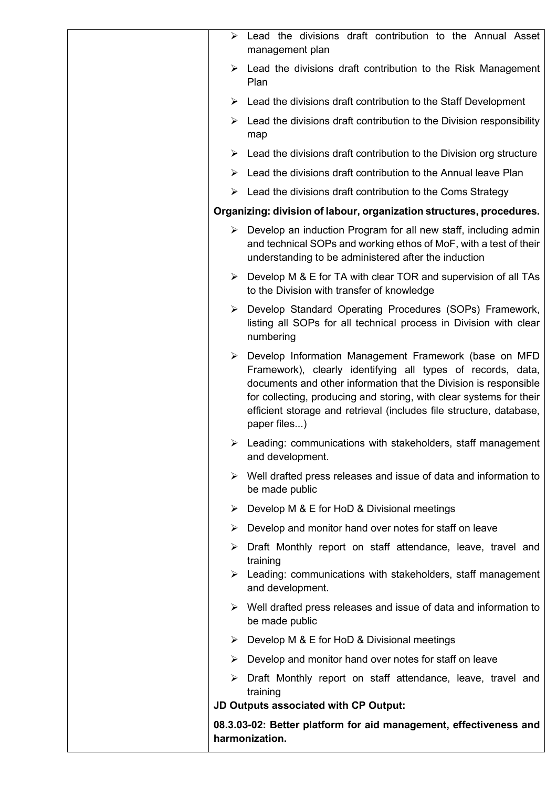| ➤ | Lead the divisions draft contribution to the Annual Asset<br>management plan                                                                                                                                                                                                                                                                             |
|---|----------------------------------------------------------------------------------------------------------------------------------------------------------------------------------------------------------------------------------------------------------------------------------------------------------------------------------------------------------|
| ➤ | Lead the divisions draft contribution to the Risk Management<br>Plan                                                                                                                                                                                                                                                                                     |
| ➤ | Lead the divisions draft contribution to the Staff Development                                                                                                                                                                                                                                                                                           |
|   | $\triangleright$ Lead the divisions draft contribution to the Division responsibility<br>map                                                                                                                                                                                                                                                             |
|   | $\triangleright$ Lead the divisions draft contribution to the Division org structure                                                                                                                                                                                                                                                                     |
|   | Lead the divisions draft contribution to the Annual leave Plan                                                                                                                                                                                                                                                                                           |
|   | $\triangleright$ Lead the divisions draft contribution to the Coms Strategy                                                                                                                                                                                                                                                                              |
|   | Organizing: division of labour, organization structures, procedures.                                                                                                                                                                                                                                                                                     |
|   | $\triangleright$ Develop an induction Program for all new staff, including admin<br>and technical SOPs and working ethos of MoF, with a test of their<br>understanding to be administered after the induction                                                                                                                                            |
|   | $\triangleright$ Develop M & E for TA with clear TOR and supervision of all TAs<br>to the Division with transfer of knowledge                                                                                                                                                                                                                            |
|   | > Develop Standard Operating Procedures (SOPs) Framework,<br>listing all SOPs for all technical process in Division with clear<br>numbering                                                                                                                                                                                                              |
|   | > Develop Information Management Framework (base on MFD<br>Framework), clearly identifying all types of records, data,<br>documents and other information that the Division is responsible<br>for collecting, producing and storing, with clear systems for their<br>efficient storage and retrieval (includes file structure, database,<br>paper files) |
| ➤ | Leading: communications with stakeholders, staff management<br>and development.                                                                                                                                                                                                                                                                          |
| ➤ | Well drafted press releases and issue of data and information to<br>be made public                                                                                                                                                                                                                                                                       |
|   | > Develop M & E for HoD & Divisional meetings                                                                                                                                                                                                                                                                                                            |
|   | $\triangleright$ Develop and monitor hand over notes for staff on leave                                                                                                                                                                                                                                                                                  |
| ➤ | Draft Monthly report on staff attendance, leave, travel and<br>training                                                                                                                                                                                                                                                                                  |
|   | $\triangleright$ Leading: communications with stakeholders, staff management<br>and development.                                                                                                                                                                                                                                                         |
|   | $\triangleright$ Well drafted press releases and issue of data and information to<br>be made public                                                                                                                                                                                                                                                      |
|   | $\triangleright$ Develop M & E for HoD & Divisional meetings                                                                                                                                                                                                                                                                                             |
| ➤ | Develop and monitor hand over notes for staff on leave                                                                                                                                                                                                                                                                                                   |
|   | Draft Monthly report on staff attendance, leave, travel and<br>training                                                                                                                                                                                                                                                                                  |
|   | JD Outputs associated with CP Output:                                                                                                                                                                                                                                                                                                                    |
|   | 08.3.03-02: Better platform for aid management, effectiveness and<br>harmonization.                                                                                                                                                                                                                                                                      |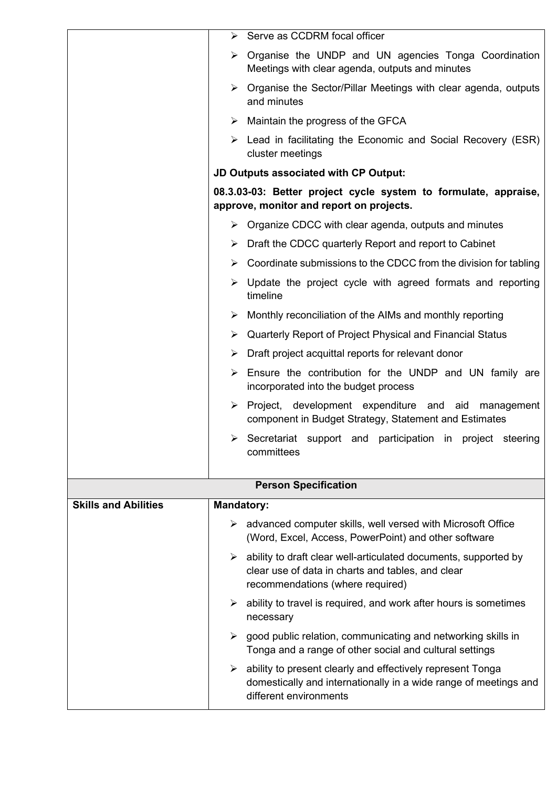|                             | ➤                 | Serve as CCDRM focal officer                                                                                                                             |
|-----------------------------|-------------------|----------------------------------------------------------------------------------------------------------------------------------------------------------|
|                             | ➤                 | Organise the UNDP and UN agencies Tonga Coordination<br>Meetings with clear agenda, outputs and minutes                                                  |
|                             |                   | $\triangleright$ Organise the Sector/Pillar Meetings with clear agenda, outputs<br>and minutes                                                           |
|                             |                   | $\triangleright$ Maintain the progress of the GFCA                                                                                                       |
|                             |                   | $\triangleright$ Lead in facilitating the Economic and Social Recovery (ESR)<br>cluster meetings                                                         |
|                             |                   | JD Outputs associated with CP Output:                                                                                                                    |
|                             |                   | 08.3.03-03: Better project cycle system to formulate, appraise,<br>approve, monitor and report on projects.                                              |
|                             |                   | $\triangleright$ Organize CDCC with clear agenda, outputs and minutes                                                                                    |
|                             |                   | $\triangleright$ Draft the CDCC quarterly Report and report to Cabinet                                                                                   |
|                             | ➤                 | Coordinate submissions to the CDCC from the division for tabling                                                                                         |
|                             | ➤                 | Update the project cycle with agreed formats and reporting<br>timeline                                                                                   |
|                             | ➤                 | Monthly reconciliation of the AIMs and monthly reporting                                                                                                 |
|                             | ➤                 | Quarterly Report of Project Physical and Financial Status                                                                                                |
|                             | ➤                 | Draft project acquittal reports for relevant donor                                                                                                       |
|                             | ➤                 | Ensure the contribution for the UNDP and UN family are<br>incorporated into the budget process                                                           |
|                             | ➤                 | Project, development expenditure and aid<br>management<br>component in Budget Strategy, Statement and Estimates                                          |
|                             |                   | $\triangleright$ Secretariat support and participation in project steering<br>committees                                                                 |
|                             |                   | <b>Person Specification</b>                                                                                                                              |
| <b>Skills and Abilities</b> | <b>Mandatory:</b> |                                                                                                                                                          |
|                             | ➤                 | advanced computer skills, well versed with Microsoft Office<br>(Word, Excel, Access, PowerPoint) and other software                                      |
|                             | ➤                 | ability to draft clear well-articulated documents, supported by<br>clear use of data in charts and tables, and clear<br>recommendations (where required) |
|                             | ➤                 | ability to travel is required, and work after hours is sometimes<br>necessary                                                                            |
|                             | ≻                 | good public relation, communicating and networking skills in<br>Tonga and a range of other social and cultural settings                                  |
|                             |                   | ability to present clearly and effectively represent Tonga<br>domestically and internationally in a wide range of meetings and<br>different environments |